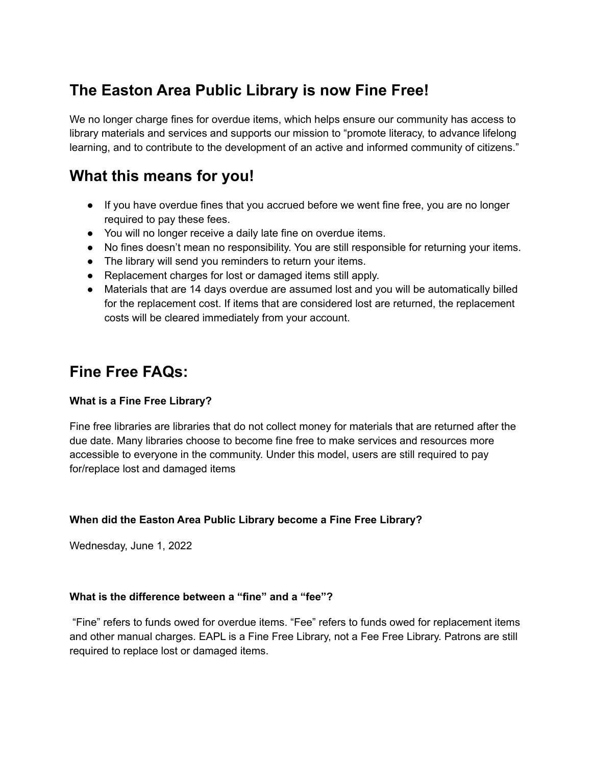# **The Easton Area Public Library is now Fine Free!**

We no longer charge fines for overdue items, which helps ensure our community has access to library materials and services and supports our mission to "promote literacy, to advance lifelong learning, and to contribute to the development of an active and informed community of citizens."

# **What this means for you!**

- If you have overdue fines that you accrued before we went fine free, you are no longer required to pay these fees.
- You will no longer receive a daily late fine on overdue items.
- No fines doesn't mean no responsibility. You are still responsible for returning your items.
- The library will send you reminders to return your items.
- Replacement charges for lost or damaged items still apply.
- Materials that are 14 days overdue are assumed lost and you will be automatically billed for the replacement cost. If items that are considered lost are returned, the replacement costs will be cleared immediately from your account.

# **Fine Free FAQs:**

## **What is a Fine Free Library?**

Fine free libraries are libraries that do not collect money for materials that are returned after the due date. Many libraries choose to become fine free to make services and resources more accessible to everyone in the community. Under this model, users are still required to pay for/replace lost and damaged items

# **When did the Easton Area Public Library become a Fine Free Library?**

Wednesday, June 1, 2022

## **What is the difference between a "fine" and a "fee"?**

"Fine" refers to funds owed for overdue items. "Fee" refers to funds owed for replacement items and other manual charges. EAPL is a Fine Free Library, not a Fee Free Library. Patrons are still required to replace lost or damaged items.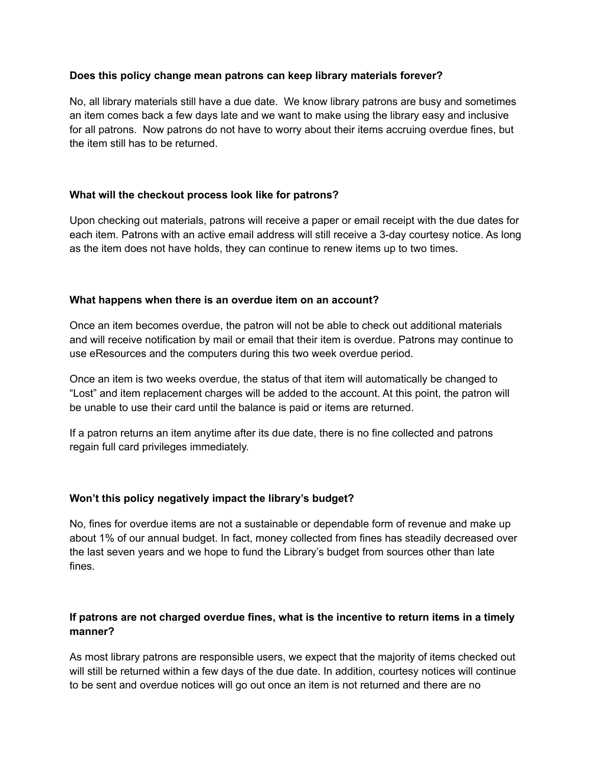#### **Does this policy change mean patrons can keep library materials forever?**

No, all library materials still have a due date. We know library patrons are busy and sometimes an item comes back a few days late and we want to make using the library easy and inclusive for all patrons. Now patrons do not have to worry about their items accruing overdue fines, but the item still has to be returned.

## **What will the checkout process look like for patrons?**

Upon checking out materials, patrons will receive a paper or email receipt with the due dates for each item. Patrons with an active email address will still receive a 3-day courtesy notice. As long as the item does not have holds, they can continue to renew items up to two times.

#### **What happens when there is an overdue item on an account?**

Once an item becomes overdue, the patron will not be able to check out additional materials and will receive notification by mail or email that their item is overdue. Patrons may continue to use eResources and the computers during this two week overdue period.

Once an item is two weeks overdue, the status of that item will automatically be changed to "Lost" and item replacement charges will be added to the account. At this point, the patron will be unable to use their card until the balance is paid or items are returned.

If a patron returns an item anytime after its due date, there is no fine collected and patrons regain full card privileges immediately.

## **Won't this policy negatively impact the library's budget?**

No, fines for overdue items are not a sustainable or dependable form of revenue and make up about 1% of our annual budget. In fact, money collected from fines has steadily decreased over the last seven years and we hope to fund the Library's budget from sources other than late fines.

# **If patrons are not charged overdue fines, what is the incentive to return items in a timely manner?**

As most library patrons are responsible users, we expect that the majority of items checked out will still be returned within a few days of the due date. In addition, courtesy notices will continue to be sent and overdue notices will go out once an item is not returned and there are no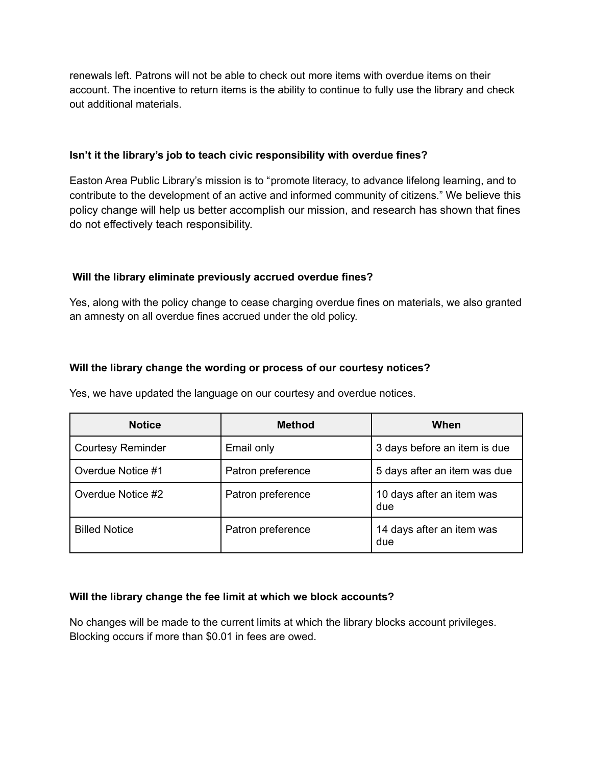renewals left. Patrons will not be able to check out more items with overdue items on their account. The incentive to return items is the ability to continue to fully use the library and check out additional materials.

## **Isn't it the library's job to teach civic responsibility with overdue fines?**

Easton Area Public Library's mission is to "promote literacy, to advance lifelong learning, and to contribute to the development of an active and informed community of citizens." We believe this policy change will help us better accomplish our mission, and research has shown that fines do not effectively teach responsibility.

## **Will the library eliminate previously accrued overdue fines?**

Yes, along with the policy change to cease charging overdue fines on materials, we also granted an amnesty on all overdue fines accrued under the old policy.

## **Will the library change the wording or process of our courtesy notices?**

Yes, we have updated the language on our courtesy and overdue notices.

| <b>Notice</b>            | <b>Method</b>     | When                             |
|--------------------------|-------------------|----------------------------------|
| <b>Courtesy Reminder</b> | Email only        | 3 days before an item is due     |
| Overdue Notice #1        | Patron preference | 5 days after an item was due     |
| Overdue Notice #2        | Patron preference | 10 days after an item was<br>due |
| <b>Billed Notice</b>     | Patron preference | 14 days after an item was<br>due |

#### **Will the library change the fee limit at which we block accounts?**

No changes will be made to the current limits at which the library blocks account privileges. Blocking occurs if more than \$0.01 in fees are owed.